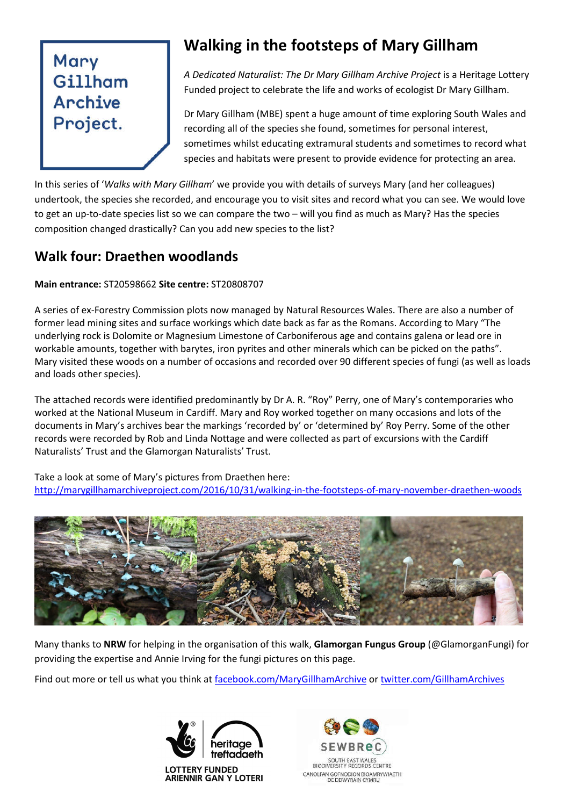# Mary Gillham Archive Project.

## **Walking in the footsteps of Mary Gillham**

*A Dedicated Naturalist: The Dr Mary Gillham Archive Project* is a Heritage Lottery Funded project to celebrate the life and works of ecologist Dr Mary Gillham.

Dr Mary Gillham (MBE) spent a huge amount of time exploring South Wales and recording all of the species she found, sometimes for personal interest, sometimes whilst educating extramural students and sometimes to record what species and habitats were present to provide evidence for protecting an area.

In this series of '*Walks with Mary Gillham*' we provide you with details of surveys Mary (and her colleagues) undertook, the species she recorded, and encourage you to visit sites and record what you can see. We would love to get an up-to-date species list so we can compare the two – will you find as much as Mary? Has the species composition changed drastically? Can you add new species to the list?

#### **Walk four: Draethen woodlands**

#### **Main entrance:** ST20598662 **Site centre:** ST20808707

A series of ex-Forestry Commission plots now managed by Natural Resources Wales. There are also a number of former lead mining sites and surface workings which date back as far as the Romans. According to Mary "The underlying rock is Dolomite or Magnesium Limestone of Carboniferous age and contains galena or lead ore in workable amounts, together with barytes, iron pyrites and other minerals which can be picked on the paths". Mary visited these woods on a number of occasions and recorded over 90 different species of fungi (as well as loads and loads other species).

The attached records were identified predominantly by Dr A. R. "Roy" Perry, one of Mary's contemporaries who worked at the National Museum in Cardiff. Mary and Roy worked together on many occasions and lots of the documents in Mary's archives bear the markings 'recorded by' or 'determined by' Roy Perry. Some of the other records were recorded by Rob and Linda Nottage and were collected as part of excursions with the Cardiff Naturalists' Trust and the Glamorgan Naturalists' Trust.

Take a look at some of Mary's pictures from Draethen here: http://marygillhamarchiveproject.com/2016/10/31/walking-in-the-footsteps-of-mary-november-draethen-woods



Many thanks to **NRW** for helping in the organisation of this walk, **Glamorgan Fungus Group** (@GlamorganFungi) for providing the expertise and Annie Irving for the fungi pictures on this page.

Find out more or tell us what you think at facebook.com/MaryGillhamArchive or twitter.com/GillhamArchives



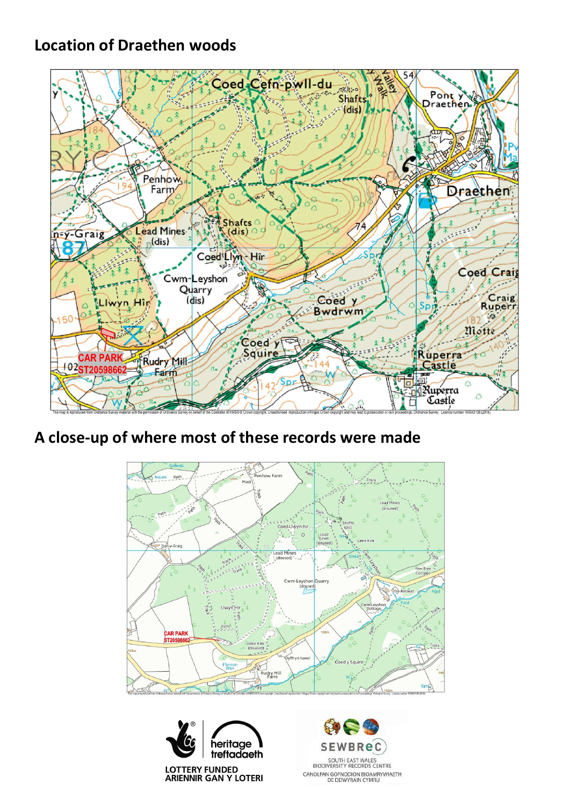### **Location of Draethen woods**



### **A close-up of where most of these records were made**





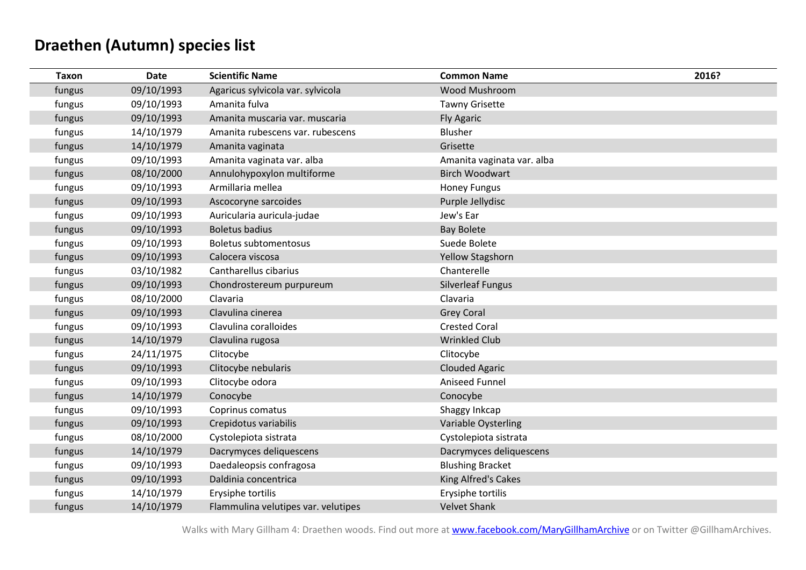## **Draethen (Autumn) species list**

| <b>Taxon</b> | Date       | <b>Scientific Name</b>              | <b>Common Name</b>         | 2016? |
|--------------|------------|-------------------------------------|----------------------------|-------|
| fungus       | 09/10/1993 | Agaricus sylvicola var. sylvicola   | Wood Mushroom              |       |
| fungus       | 09/10/1993 | Amanita fulva                       | <b>Tawny Grisette</b>      |       |
| fungus       | 09/10/1993 | Amanita muscaria var. muscaria      | <b>Fly Agaric</b>          |       |
| fungus       | 14/10/1979 | Amanita rubescens var. rubescens    | Blusher                    |       |
| fungus       | 14/10/1979 | Amanita vaginata                    | Grisette                   |       |
| fungus       | 09/10/1993 | Amanita vaginata var. alba          | Amanita vaginata var. alba |       |
| fungus       | 08/10/2000 | Annulohypoxylon multiforme          | <b>Birch Woodwart</b>      |       |
| fungus       | 09/10/1993 | Armillaria mellea                   | <b>Honey Fungus</b>        |       |
| fungus       | 09/10/1993 | Ascocoryne sarcoides                | Purple Jellydisc           |       |
| fungus       | 09/10/1993 | Auricularia auricula-judae          | Jew's Ear                  |       |
| fungus       | 09/10/1993 | <b>Boletus badius</b>               | <b>Bay Bolete</b>          |       |
| fungus       | 09/10/1993 | <b>Boletus subtomentosus</b>        | Suede Bolete               |       |
| fungus       | 09/10/1993 | Calocera viscosa                    | Yellow Stagshorn           |       |
| fungus       | 03/10/1982 | Cantharellus cibarius               | Chanterelle                |       |
| fungus       | 09/10/1993 | Chondrostereum purpureum            | <b>Silverleaf Fungus</b>   |       |
| fungus       | 08/10/2000 | Clavaria                            | Clavaria                   |       |
| fungus       | 09/10/1993 | Clavulina cinerea                   | <b>Grey Coral</b>          |       |
| fungus       | 09/10/1993 | Clavulina coralloides               | <b>Crested Coral</b>       |       |
| fungus       | 14/10/1979 | Clavulina rugosa                    | <b>Wrinkled Club</b>       |       |
| fungus       | 24/11/1975 | Clitocybe                           | Clitocybe                  |       |
| fungus       | 09/10/1993 | Clitocybe nebularis                 | <b>Clouded Agaric</b>      |       |
| fungus       | 09/10/1993 | Clitocybe odora                     | Aniseed Funnel             |       |
| fungus       | 14/10/1979 | Conocybe                            | Conocybe                   |       |
| fungus       | 09/10/1993 | Coprinus comatus                    | Shaggy Inkcap              |       |
| fungus       | 09/10/1993 | Crepidotus variabilis               | Variable Oysterling        |       |
| fungus       | 08/10/2000 | Cystolepiota sistrata               | Cystolepiota sistrata      |       |
| fungus       | 14/10/1979 | Dacrymyces deliquescens             | Dacrymyces deliquescens    |       |
| fungus       | 09/10/1993 | Daedaleopsis confragosa             | <b>Blushing Bracket</b>    |       |
| fungus       | 09/10/1993 | Daldinia concentrica                | King Alfred's Cakes        |       |
| fungus       | 14/10/1979 | Erysiphe tortilis                   | Erysiphe tortilis          |       |
| fungus       | 14/10/1979 | Flammulina velutipes var. velutipes | <b>Velvet Shank</b>        |       |

Walks with Mary Gillham 4: Draethen woods. Find out more at **www.facebook.com/MaryGillhamArchive** or on Twitter @GillhamArchives.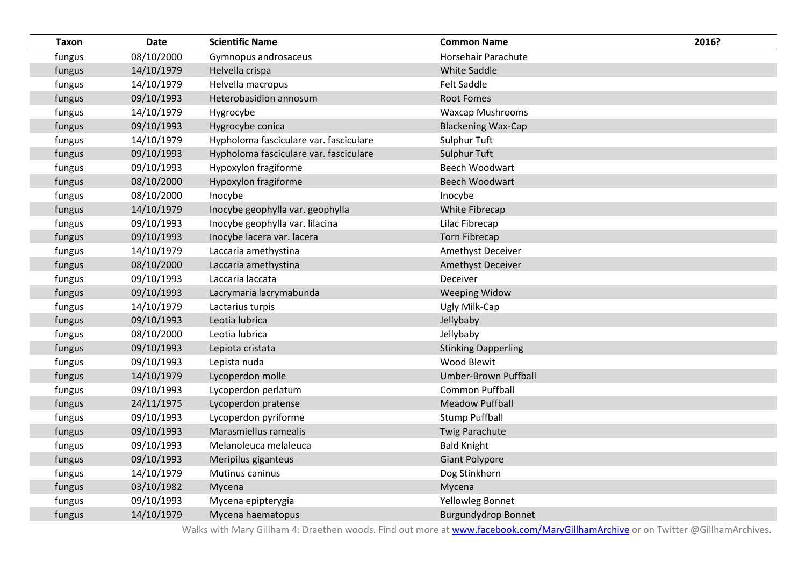| <b>Taxon</b> | <b>Date</b> | <b>Scientific Name</b>                 | <b>Common Name</b>         | 2016? |
|--------------|-------------|----------------------------------------|----------------------------|-------|
| fungus       | 08/10/2000  | Gymnopus androsaceus                   | Horsehair Parachute        |       |
| fungus       | 14/10/1979  | Helvella crispa                        | <b>White Saddle</b>        |       |
| fungus       | 14/10/1979  | Helvella macropus                      | <b>Felt Saddle</b>         |       |
| fungus       | 09/10/1993  | Heterobasidion annosum                 | <b>Root Fomes</b>          |       |
| fungus       | 14/10/1979  | Hygrocybe                              | <b>Waxcap Mushrooms</b>    |       |
| fungus       | 09/10/1993  | Hygrocybe conica                       | <b>Blackening Wax-Cap</b>  |       |
| fungus       | 14/10/1979  | Hypholoma fasciculare var. fasciculare | Sulphur Tuft               |       |
| fungus       | 09/10/1993  | Hypholoma fasciculare var. fasciculare | Sulphur Tuft               |       |
| fungus       | 09/10/1993  | Hypoxylon fragiforme                   | Beech Woodwart             |       |
| fungus       | 08/10/2000  | Hypoxylon fragiforme                   | <b>Beech Woodwart</b>      |       |
| fungus       | 08/10/2000  | Inocybe                                | Inocybe                    |       |
| fungus       | 14/10/1979  | Inocybe geophylla var. geophylla       | White Fibrecap             |       |
| fungus       | 09/10/1993  | Inocybe geophylla var. lilacina        | Lilac Fibrecap             |       |
| fungus       | 09/10/1993  | Inocybe lacera var. lacera             | <b>Torn Fibrecap</b>       |       |
| fungus       | 14/10/1979  | Laccaria amethystina                   | Amethyst Deceiver          |       |
| fungus       | 08/10/2000  | Laccaria amethystina                   | Amethyst Deceiver          |       |
| fungus       | 09/10/1993  | Laccaria laccata                       | Deceiver                   |       |
| fungus       | 09/10/1993  | Lacrymaria lacrymabunda                | <b>Weeping Widow</b>       |       |
| fungus       | 14/10/1979  | Lactarius turpis                       | Ugly Milk-Cap              |       |
| fungus       | 09/10/1993  | Leotia lubrica                         | Jellybaby                  |       |
| fungus       | 08/10/2000  | Leotia lubrica                         | Jellybaby                  |       |
| fungus       | 09/10/1993  | Lepiota cristata                       | <b>Stinking Dapperling</b> |       |
| fungus       | 09/10/1993  | Lepista nuda                           | Wood Blewit                |       |
| fungus       | 14/10/1979  | Lycoperdon molle                       | Umber-Brown Puffball       |       |
| fungus       | 09/10/1993  | Lycoperdon perlatum                    | <b>Common Puffball</b>     |       |
| fungus       | 24/11/1975  | Lycoperdon pratense                    | <b>Meadow Puffball</b>     |       |
| fungus       | 09/10/1993  | Lycoperdon pyriforme                   | <b>Stump Puffball</b>      |       |
| fungus       | 09/10/1993  | Marasmiellus ramealis                  | <b>Twig Parachute</b>      |       |
| fungus       | 09/10/1993  | Melanoleuca melaleuca                  | <b>Bald Knight</b>         |       |
| fungus       | 09/10/1993  | Meripilus giganteus                    | <b>Giant Polypore</b>      |       |
| fungus       | 14/10/1979  | Mutinus caninus                        | Dog Stinkhorn              |       |
| fungus       | 03/10/1982  | Mycena                                 | Mycena                     |       |
| fungus       | 09/10/1993  | Mycena epipterygia                     | Yellowleg Bonnet           |       |
| fungus       | 14/10/1979  | Mycena haematopus                      | <b>Burgundydrop Bonnet</b> |       |

Walks with Mary Gillham 4: Draethen woods. Find out more at **www.facebook.com/MaryGillhamArchive** or on Twitter @GillhamArchives.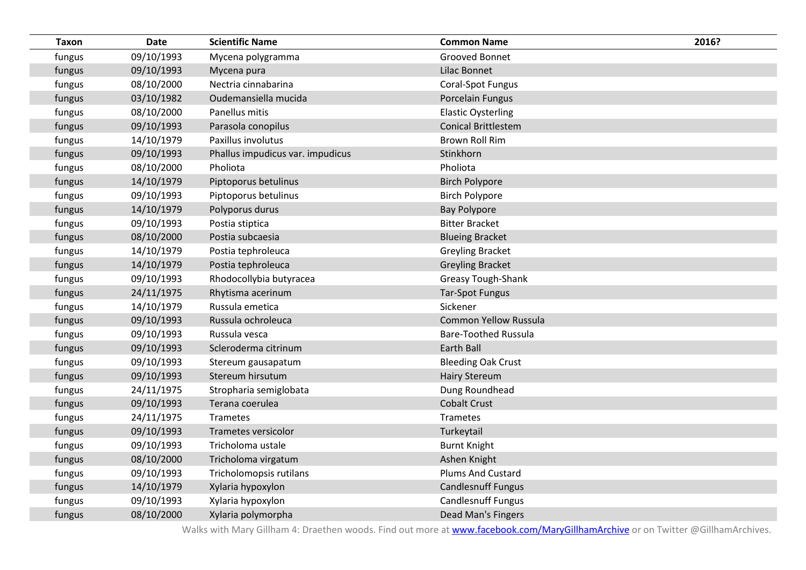| <b>Taxon</b> | <b>Date</b> | <b>Scientific Name</b>           | <b>Common Name</b>           | 2016? |
|--------------|-------------|----------------------------------|------------------------------|-------|
| fungus       | 09/10/1993  | Mycena polygramma                | Grooved Bonnet               |       |
| fungus       | 09/10/1993  | Mycena pura                      | Lilac Bonnet                 |       |
| fungus       | 08/10/2000  | Nectria cinnabarina              | Coral-Spot Fungus            |       |
| fungus       | 03/10/1982  | Oudemansiella mucida             | Porcelain Fungus             |       |
| fungus       | 08/10/2000  | Panellus mitis                   | <b>Elastic Oysterling</b>    |       |
| fungus       | 09/10/1993  | Parasola conopilus               | <b>Conical Brittlestem</b>   |       |
| fungus       | 14/10/1979  | Paxillus involutus               | <b>Brown Roll Rim</b>        |       |
| fungus       | 09/10/1993  | Phallus impudicus var. impudicus | Stinkhorn                    |       |
| fungus       | 08/10/2000  | Pholiota                         | Pholiota                     |       |
| fungus       | 14/10/1979  | Piptoporus betulinus             | <b>Birch Polypore</b>        |       |
| fungus       | 09/10/1993  | Piptoporus betulinus             | <b>Birch Polypore</b>        |       |
| fungus       | 14/10/1979  | Polyporus durus                  | <b>Bay Polypore</b>          |       |
| fungus       | 09/10/1993  | Postia stiptica                  | <b>Bitter Bracket</b>        |       |
| fungus       | 08/10/2000  | Postia subcaesia                 | <b>Blueing Bracket</b>       |       |
| fungus       | 14/10/1979  | Postia tephroleuca               | <b>Greyling Bracket</b>      |       |
| fungus       | 14/10/1979  | Postia tephroleuca               | <b>Greyling Bracket</b>      |       |
| fungus       | 09/10/1993  | Rhodocollybia butyracea          | <b>Greasy Tough-Shank</b>    |       |
| fungus       | 24/11/1975  | Rhytisma acerinum                | <b>Tar-Spot Fungus</b>       |       |
| fungus       | 14/10/1979  | Russula emetica                  | Sickener                     |       |
| fungus       | 09/10/1993  | Russula ochroleuca               | <b>Common Yellow Russula</b> |       |
| fungus       | 09/10/1993  | Russula vesca                    | <b>Bare-Toothed Russula</b>  |       |
| fungus       | 09/10/1993  | Scleroderma citrinum             | Earth Ball                   |       |
| fungus       | 09/10/1993  | Stereum gausapatum               | <b>Bleeding Oak Crust</b>    |       |
| fungus       | 09/10/1993  | Stereum hirsutum                 | <b>Hairy Stereum</b>         |       |
| fungus       | 24/11/1975  | Stropharia semiglobata           | Dung Roundhead               |       |
| fungus       | 09/10/1993  | Terana coerulea                  | <b>Cobalt Crust</b>          |       |
| fungus       | 24/11/1975  | Trametes                         | Trametes                     |       |
| fungus       | 09/10/1993  | Trametes versicolor              | Turkeytail                   |       |
| fungus       | 09/10/1993  | Tricholoma ustale                | <b>Burnt Knight</b>          |       |
| fungus       | 08/10/2000  | Tricholoma virgatum              | Ashen Knight                 |       |
| fungus       | 09/10/1993  | Tricholomopsis rutilans          | <b>Plums And Custard</b>     |       |
| fungus       | 14/10/1979  | Xylaria hypoxylon                | <b>Candlesnuff Fungus</b>    |       |
| fungus       | 09/10/1993  | Xylaria hypoxylon                | <b>Candlesnuff Fungus</b>    |       |
| fungus       | 08/10/2000  | Xylaria polymorpha               | Dead Man's Fingers           |       |

Walks with Mary Gillham 4: Draethen woods. Find out more at **www.facebook.com/MaryGillhamArchive** or on Twitter @GillhamArchives.